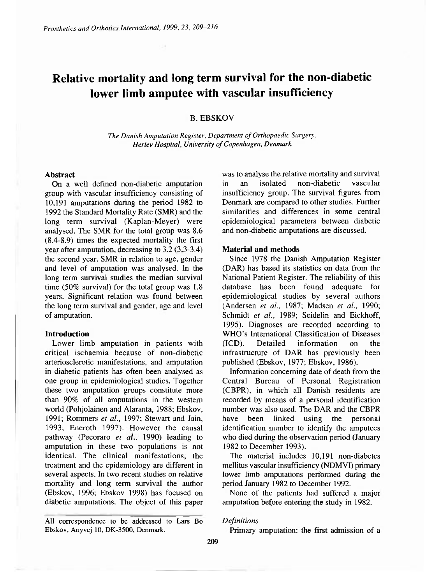# **Relative mortality and long term survival for the non-diabetic lower limb amputee with vascular insufficiency**

## **B. EBSKOV**

*The Danish Amputation Register, Department of Orthopaedic Surgery, Herlev Hospital, University of Copenhagen, Denmark* 

## **Abstract**

On a well defined non-diabetic amputation group with vascular insufficiency consisting of 10,191 amputations during the period 1982 to 1992 the Standard Mortality Rate (SMR) and the long term survival (Kaplan-Meyer) were analysed. The SMR for the total group was 8.6 (8.4-8.9) times the expected mortality the first year after amputation, decreasing to 3.2 (3.3-3.4) the second year. SMR in relation to age, gender and level of amputation was analysed. In the long term survival studies the median survival time (50% survival) for the total group was 1.8 years. Significant relation was found between the long term survival and gender, age and level of amputation.

## **Introduction**

Lower limb amputation in patients with critical ischaemia because of non-diabetic arteriosclerotic manifestations, and amputation in diabetic patients has often been analysed as one group in epidemiological studies. Together these two amputation groups constitute more than 90% of all amputations in the western world (Pohjolainen and Alaranta, 1988; Ebskov, 1991; Rommers *et al.,* 1997; Stewart and Jain, 1993; Eneroth 1997). However the causal pathway (Pecoraro *et al.,* 1990) leading to amputation in these two populations is not identical. The clinical manifestations, the treatment and the epidemiology are different in several aspects. In two recent studies on relative mortality and long term survival the author (Ebskov, 1996; Ebskov 1998) has focused on diabetic amputations. The object of this paper

All correspondence to be addressed to Lars Bo Ebskov, Anyvej 10, DK-3500, Denmark.

was to analyse the relative mortality and survival in an isolated non-diabetic vascular insufficiency group. The survival figures from Denmark are compared to other studies. Further similarities and differences in some central epidemiological parameters between diabetic and non-diabetic amputations are discussed.

#### **Material and methods**

Since 1978 the Danish Amputation Register (DAR) has based its statistics on data from the National Patient Register. The reliability of this database has been found adequate for epidemiological studies by several authors (Andersen *et al.,* 1987; Madsen *et al.,* 1990; Schmidt *et al.,* 1989; Seidelin and Eickhoff, 1995). Diagnoses are recorded according to WHO's International Classification of Diseases (ICD). Detailed information on the infrastructure of DAR has previously been published (Ebskov, 1977; Ebskov, 1986).

Information concerning date of death from the Central Bureau of Personal Registration (CBPR), in which all Danish residents are recorded by means of a personal identification number was also used. The DAR and the CBPR have been linked using the personal identification number to identify the amputees who died during the observation period (January 1982 to December 1993).

The material includes 10,191 non-diabetes mellitus vascular insufficiency (NDMVI) primary lower limb amputations performed during the period January 1982 to December 1992.

None of the patients had suffered a major amputation before entering the study in 1982.

#### *Definitions*

Primary amputation: the first admission of a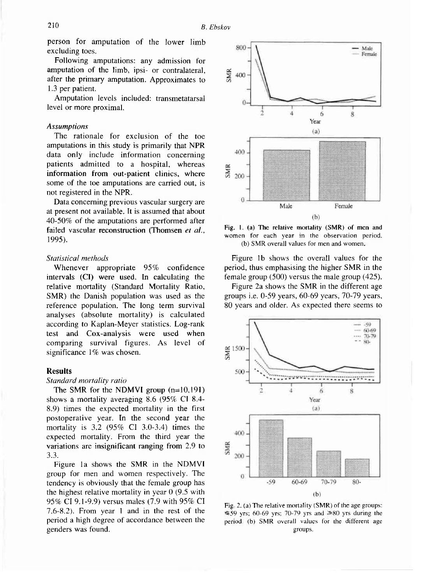person for amputation of the lower limb excluding toes.

Following amputations: any admission for amputation of the limb, ipsi- or contralateral, after the primary amputation. Approximates to 1.3 per patient.

Amputation levels included: transmetatarsal level or more proximal.

## *Assumptions*

The rationale for exclusion of the toe amputations in this study is primarily that NPR data only include information concerning patients admitted to a hospital, whereas information from out-patient clinics, where some of the toe amputations are carried out, is not registered in the NPR.

Data concerning previous vascular surgery are at present not available. It is assumed that about 40-50% of the amputations are performed after failed vascular reconstruction (Thomsen *et al.,*  1995).

## *Statistical methods*

Whenever appropriate 95% confidence intervals (CI) were used. In calculating the relative mortality (Standard Mortality Ratio, SMR) the Danish population was used as the reference population. The long term survival analyses (absolute mortality) is calculated according to Kaplan-Meyer statistics. Log-rank test and Cox-analysis were used when comparing survival figures. As level of significance 1% was chosen.

### Results

## *Standard mortality ratio*

The SMR for the NDMVI group (n=10,191) shows a mortality averaging 8.6 (95% CI 8.4- 8.9) times the expected mortality in the first postoperative year. In the second year the mortality is 3.2 (95% CI 3.0-3.4) times the expected mortality. From the third year the variations are insignificant ranging from 2.9 to 3.3.

Figure la shows the SMR in the NDMVI group for men and women respectively. The tendency is obviously that the female group has the highest relative mortality in year 0 (9.5 with 95% CI 9.1-9.9) versus males (7.9 with 95% CI 7.6-8.2). From year 1 and in the rest of the period a high degree of accordance between the genders was found.



Fig. 1. (a) The relative mortality (SMR) of men and women for each year in the observation period. (b) SMR overall values for men and women,

Figure 1b shows the overall values for the period, thus emphasising the higher SMR in the female group (500) versus the male group (425).

Figure 2a shows the SMR in the different age groups i.e. 0-59 years, 60-69 years, 70-79 years, 80 years and older. As expected there seems to



Fig. 2. (a) The relative mortality (SMR) of the age groups: ≤59 yrs; 60-69 yrs; 70-79 yrs and ≥80 yrs during the period. (b) SMR overall values for the different age groups.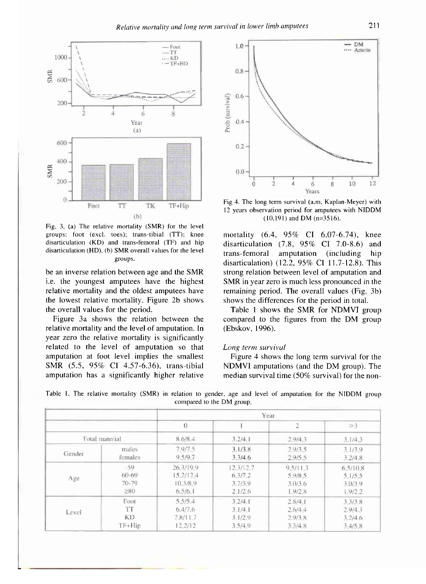

Fig. 3, (a) The relative mortality (SMR) for the level groups: foot (excl. toes); trans-tibial (TT); knee disarticulation (KD) and trans-femoral (TF) and hip disarticulation (HD). (b) SMR overall values for the level groups.

be an inverse relation between age and the SMR i.e. the youngest amputees have the highest relative mortality and the oldest amputees have the lowest relative mortality. Figure 2b shows the overall values for the period.

Figure 3a shows the relation between the relative mortality and the level of amputation. In year zero the relative mortality is significantly related to the level of amputation so that amputation at foot level implies the smallest SMR (5.5, 95% CI 4.57-6.36), trans-tibial amputation has a significantly higher relative



Fig 4. The long term survival (a.m. Kaplan-Meyer) with 12 years observation period for amputees with NIDDM (10,191) and DM (n=3516).

mortality (6.4, 95% CI 6.07-6.74), knee disarticulation  $(7.8, 95\% \text{ CI} 7.0-8.6)$  and trans-femoral amputation (including hip disarticulation) (12.2,  $95\%$  CI 11.7-12.8). This strong relation between level of amputation and SMR in year zero is much less pronounced in the remaining period. The overall values (Fig. 3b) shows the differences for the period in total.

Table 1 shows the SMR for NDMVI group compared to the figures from the DM group (Ebskov, 1996).

## *Long term survival*

Figure 4 shows the long term survival for the NDMVI amputations (and the DM group). The median survival time (50% survival) for the non-

|                |           | Year           |           |                |          |
|----------------|-----------|----------------|-----------|----------------|----------|
|                |           | $\overline{0}$ |           | $\overline{2}$ | $\geq$ 3 |
| Total material |           | 8.6/8.4        | 3.2/4.1   | 2.9/4.3        | 3.1/4.3  |
| Gender         | males     | 7.9/7.5        | 3.1/3.8   | 2.9/3.5        | 3.1/3.9  |
|                | females   | 9.5/9.7        | 3,3/4,6   | 2.9/5.5        | 3.2/4.8  |
| Age            | $-59$     | 26.3/19.9      | 12.3/12.7 | 9.5/11.3       | 6,5/10.8 |
|                | $60 - 69$ | 15.2/12.4      | 6,3/7,2   | 5.9/8.5        | 5.1/5.5  |
|                | $70 - 79$ | 10.3/8.9       | 3.7/3.9   | 3.0/3.6        | 3.0/3.9  |
|                | $\geq 80$ | 6.5/6.1        | 2.1/2.6   | 1.9/2.8        | 1.9/2.2  |
| Level          | Foot      | 5.5/5.4        | 3.2/4.1   | 2.8/4.1        | 3.3/3.8  |
|                | TT        | 6.4/7.6        | 3.1/4.1   | 2.6/4.4        | 2.9/4.3  |
|                | <b>KD</b> | 7.8/11.7       | 3.1/2.9   | 2.9/3.8        | 3.2/4.6  |
|                | $TF+Hip$  | 12.2/12        | 3.5/4.9   | 3.3/4.8        | 3.4/5.8  |

Table 1. The relative mortality (SMR) in relation to gender, age and level of amputation for the NIDDM group compared to the DM group.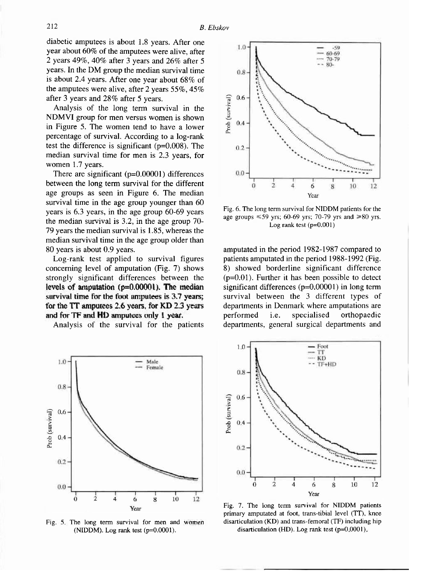diabetic amputees is about 1.8 years. After one year about 60% of the amputees were alive, after 2 years 49%, 40% after 3 years and 26% after 5 years. In the DM group the median survival time is about 2.4 years. After one year about 68% of the amputees were alive, after 2 years 55%, 45 % after 3 years and 28% after 5 years.

Analysis of the long term survival in the NDMVI group for men versus women is shown in Figure 5. The women tend to have a lower percentage of survival. According to a log-rank test the difference is significant (p=0.008). The median survival time for men is 2.3 years, for women 1.7 years.

There are significant (p=0.00001) differences between the long term survival for the different age groups as seen in Figure 6. The median survival time in the age group younger than 60 years is 6.3 years, in the age group 60-69 years the median survival is 3.2, in the age group 70- 79 years the median survival is 1.85, whereas the median survival time in the age group older than 80 years is about 0.9 years.

Log-rank test applied to survival figures concerning level of amputation (Fig. 7) shows strongly significant differences between the survival time for the foot amputees is 3.7 years; for the TT amputees 2.6 years, for KD 2.3 years and for TF and HD amputees only 1 year.

Analysis of the survival for the patients



Fig. 5. The long term survival for men and women (NIDDM). Log rank test (p=0.0001).



Fig. 6. The long term survival for NIDDM patients for the age groups  $\leq 59$  yrs; 60-69 yrs; 70-79 yrs and  $\geq 80$  yrs. Log rank test (p=0.001)

**levels of amputation (p=0.00001). The median** significant differences (p=0.00001) in long term amputated in the period 1982-1987 compared to patients amputated in the period 1988-1992 (Fig. 8) showed borderline significant difference  $(p=0.01)$ . Further it has been possible to detect survival between the 3 different types of departments in Denmark where amputations are performed i.e. specialised orthopaedic departments, general surgical departments and



Fig. 7. The long term survival for NIDDM patients primary amputated at foot, trans-tibial level (TT), knee disarticulation (KD) and trans-femoral (TF) including hip disarticulation (HD). Log rank test (p=0.0001).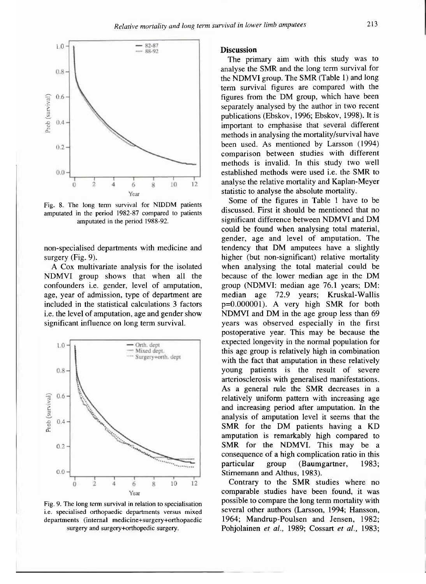

Fig. 8. The long term survival for NIDDM patients amputated in the period 1982-87 compared to patients amputated in the period 1988-92.

non-specialised departments with medicine and surgery (Fig. 9).

A Cox multivariate analysis for the isolated NDMVI group shows that when all the confounders i.e. gender, level of amputation, age, year of admission, type of department are included in the statistical calculations 3 factors i.e. the level of amputation, age and gender show significant influence on long term survival.



Fig. 9. The long term survival in relation to specialisation i.e. specialised orthopaedic departments versus mixed departments (internal medicine+surgery+orthopaedic surgery and surgery+orthopedic surgery.

### **Discussion**

The primary aim with this study was to analyse the SMR and the long term survival for the NDMVI group. The SMR (Table 1) and long term survival figures are compared with the figures from the DM group, which have been separately analysed by the author in two recent publications (Ebskov, 1996; Ebskov, 1998). It is important to emphasise that several different methods in analysing the mortality/survival have been used. As mentioned by Larsson (1994) comparison between studies with different methods is invalid. In this study two well established methods were used i.e. the SMR to analyse the relative mortality and Kaplan-Meyer statistic to analyse the absolute mortality.

Some of the figures in Table 1 have to be discussed. First it should be mentioned that no significant difference between NDMVI and DM could be found when analysing total material, gender, age and level of amputation. The tendency that DM amputees have a slightly higher (but non-significant) relative mortality when analysing the total material could be because of the lower median age in the DM group (NDMVI: median age 76.1 years; DM: median age 72.9 years; Kruskal-Wallis p=0.000001). A very high SMR for both NDMVI and DM in the age group less than 69 years was observed especially in the first postoperative year. This may be because the expected longevity in the normal population for this age group is relatively high in combination with the fact that amputation in these relatively young patients is the result of severe arteriosclerosis with generalised manifestations. As a general rule the SMR decreases in a relatively uniform pattern with increasing age and increasing period after amputation. In the analysis of amputation level it seems that the SMR for the DM patients having a KD amputation is remarkably high compared to SMR for the NDMVI. This may be a consequence of a high complication ratio in this particular group (Baumgartner, 1983; Stirnemann and Althus, 1983).

Contrary to the SMR studies where no comparable studies have been found, it was possible to compare the long term mortality with several other authors (Larsson, 1994; Hansson, 1964; Mandrup-Poulsen and Jensen, 1982; Pohjolainen *et al.,* 1989; Cossart *et al.,* 1983;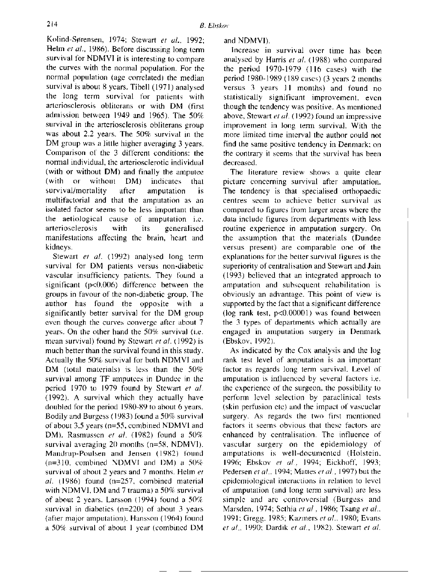Kolind-Sørensen, 1974; Stewart *et al.,* 1992; Helm *et al.,* 1986). Before discussing long term survival for NDMVI it is interesting to compare the curves with the normal population. For the normal population (age correlated) the median survival is about 8 years. Tibell (1971) analysed the long term survival for patients with arteriosclerosis obliterans or with DM (first admission between 1949 and 1965). The 50% survival in the arteriosclerosis obliterans group was about 2.2 years. The 50% survival in the DM group was a little higher averaging 3 years. Comparison of the 3 different conditions: the normal individual, the arteriosclerotic individual (with or without DM) and finally the amputee (with or without DM) indicates that survival/mortality after amputation is multifactorial and that the amputation as an isolated factor seems to be less important than the aetiological cause of amputation i.e. arteriosclerosis with its generalised manifestations affecting the brain, heart and kidneys.

Stewart *et al.* (1992) analysed long term survival for DM patients versus non-diabetic vascular insufficiency patients. They found a significant (p<0.006) difference between the groups in favour of the non-diabetic group. The author has found the opposite with a significantly better survival for the DM group even though the curves converge after about 7 years. On the other hand the 50% survival (i.e. mean survival) found by Stewart *et al.* (1992) is much better than the survival found in this study. Actually the 50% survival for both NDMVI and DM (total materials) is less than the 50% survival among TF amputees in Dundee in the period 1970 to 1979 found by Stewart *et al.*  (1992). A survival which they actually have doubled for the period 1980-89 to about 6 years. Bodily and Burgess (1983) found a 50% survival of about 3.5 years (n=55, combined NDMVI and DM). Rasmussen *et al.* (1982) found a 50% survival averaging 20 months (n=58, NDMVI). Mandrup-Poulsen and Jensen (1982) found  $(n=310,$  combined NDMVI and DM) a  $50\%$ survival of about 2 years and 7 months. Helm et  $al$  (1986) found (n=257, combined material with NDMVI, DM and 7 trauma) a 50% survival of about 2 years. Larsson (1994) found a 50% survival in diabetics (n=220) of about 3 years (after major amputation). Hansson (1964) found a 50% survival of about 1 year (combined DM

and NDMVI).

Increase in survival over time has been analysed by Harris *et al.* (1988) who compared the period 1970-1979 (116 cases) with the period 1980-1989 (189 cases) (3 years 2 months versus 3 years 11 months) and found no statistically significant improvement, even though the tendency was positive. As mentioned above, Stewart *et al.* (1992) found an impressive improvement in long term survival. With the more limited time interval the author could not find the same positive tendency in Denmark; on the contrary it seems that the survival has been decreased.

The literature review shows a quite clear picture concerning survival after amputation. The tendency is that specialised orthopaedic centres seem to achieve better survival as compared to figures from larger areas where the data include figures from departments with less routine experience in amputation surgery. On the assumption that the materials (Dundee versus present) are comparable one of the explanations for the better survival figures is the superiority of centralisation and Stewart and Jain (1993) believed that an integrated approach to amputation and subsequent rehabilitation is obviously an advantage. This point of view is supported by the fact that a significant difference (log rank test, p<0.00001) was found between the 3 types of departments which actually are engaged in amputation surgery in Denmark (Ebskov, 1992).

As indicated by the Cox analysis and the log rank test level of amputation is an important factor as regards long term survival. Level of amputation is influenced by several factors i.e. the experience of the surgeon, the possibility to perform level selection by paraclinical tests (skin perfusion etc) and the impact of vascuclar surgery. As regards the two first mentioned factors it seems obvious that these factors are enhanced by centralisation. The influence of' vascular surgery on the epidemiology of amputations is well-documented (Holstein, 1996; Ebskov *et al.,* 1994; Eickhoff, 1993; Pedersen et al., 1994; *Mattes et al.,* 1997) but the epidemiological interactions in relation to level of amputation (and long term survival) are less simple and are controversial (Burgess and Marsden, 1974: Sethia *et al.,* 1986; Tsang *et al.,*  1991; Gregg, 1985; Kazmers *et al.,* 1980; Evans *et al.,* 1990: Dardik *et al.,* 1982). Stewart *et al.*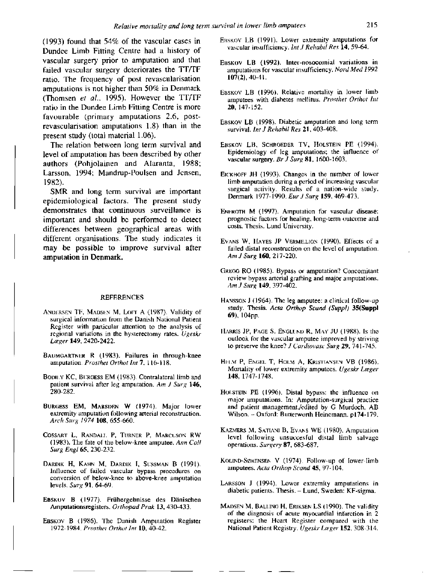(1993) found that 54% of the vascular cases in Dundee Limb Fitting Centre had a history of vascular surgery prior to amputation and that failed vascular surgery deteriorates the TT/TF ratio. The frequency of post revascularisation amputations is not higher than 50% in Denmark (Thomsen *et al.,* 1995). However the TT/TF ratio in the Dundee Limb Fitting Centre is more favourable (primary amputations 2.6, postrevascularisation amputations 1.8) than in the present study (total material 1.06).

The relation between long term survival and level of amputation has been described by other authors (Pohjolainen and Alaranta, 1988; Larsson, 1994; Mandrup-Poulsen and Jensen, 1982).

SMR and long term survival are important epidemiological factors. The present study demonstrates that continuous surveillance is important and should be performed to detect differences between geographical areas with different organisations. The study indicates it may be possible to improve survival after amputation in Denmark.

#### REFERENCES

- ANDERSEN TF, MADSEN M, LOFT A (1987). Validity of surgical information from the Danish National Patient Register with particular attention to the analysis of regional variations in the hysterectomy rates. *Ugeskr L*æ*ger* **149,** 2420-2422.
- BAUMGARTNER R (1983). Failures in through-knee amputation. *Prosthet Orthot Int* **7,** 116-118.
- BODILY KC, BURQESS EM (1983). Contralateral limb and patient survival after leg amputation. *Am J Surg* **146,**  280-282.
- BURGESS EM, MARSDEN W (1974). Major lower extremity amputation following arterial reconstruction. *Arch Surg 1974* **108,** 655-660.
- COSSART L, RANDALL P, TURNER P, MARCUSON RW (1983). The fate of the below-knee amputee. *Ann Coll Surg Engl* **65,** 230-232.
- DARDIK H, KAHN M, DARDIK I, SUSSMAN B (1991). Influence of failed vascular bypass procedures on conversion of below-knee to above-knee amputation levels. *Surg* **91,** 64-69.
- EBSKOV B (1977). Frühergebnisse des Dänischen Amputationsregisters. *Orthopad Prak* **13,** 430-433.
- EBSKOV B (1986). The Danish Amputation Register 1972-1984. *Prosthet Orthot Int* **10.** 40-42.
- EBSKOV LB (1991). Lower extremity amputations for vascular insufficiency. I*nt J Rehabil Res* **14,** 59-64.
- EBSKOV LB (1992). Inter-nosocomial variations in amputations for vascular insufficiency. *Nord Med 1992*  **107(2),** 40-41.
- EBSKOV LB (1996). Relative mortality in lower limb amputees with diabetes mellitus. *Prosthet Orthot Int*  **20,** 147-152.
- EBSKOV LB (1998). Diabetic amputation and long term survival. *Int J Rehabil Res* **21,** 403-408.
- EBSKOV LB, SCHROEDER TV, HOLSTEIN PE (1994). Epidemiology of leg amputations; the influence of vascular surgery. *Br J Surg* **81,** 1600-1603.
- EICKHOFF JH (1993). Changes in the number of lower limb amputation during a period of increasing vascular surgical activity. Results of a nation-wide study, Denmark 1977-1990. *Eur J Surg* **159,** 469-473.
- ENEROTH M (1997). Amputation for vascular disease: prognostic factors for healing, long-term outcome and costs. Thesis. Lund University.
- EVANS W, HAYES JP VERMILLION (1990). Effects of a failed distal reconstruction on the level of amputation. *Am J Surg* **160,** 217-220.
- GREGG RO (1985). Bypass or amputation? Concomitant review bypass arterial grafting and major amputations. *Am J Surg* **149,** 397-402.
- HANSSON J (1964), The leg amputee: a clinical follow-up study. Thesis, *Acta Orthop Scand (Suppl)* **35(Suppl 69),** 104pp.
- HARRIS JP, PAGE S, ENGLUND R, MAY JU (1988). Is the outlook for the vascular amputee improved by striving to preserve the knee? *J Cardiovasc Surg* **29,** 741-745.
- HELM P, ENGEL T, HOLM A, KRISTIANSEN VB (1986). Mortality of lower extremity amputees. *Ugeskr L*æ*ger*  **148,** 1747-1748.
- HOLSTEIN PE (1996). Distal bypass: the influence on major amputations. In: Amputation-surgical practice and patient management./edited by G Murdoch, AB Wilson. — Oxford: Butterworth Heinemann. pl74-179.
- KAZMERS M, SATIANI B, EVANS WE (1980). Amputation level following unsuccesful distal limb salvage operations. *Surgery* **87,** 683-687.
- KOLIND-SØRENSEN V (1974). Follow-up of lower-limb amputees. *Acta Orthop Scand* **45,** 97-104.
- LARSSON J (1994). Lower extremity amputations in diabetic patients. Thesis. - Lund, Sweden: KF-sigma.
- MADSEN M, BALLING H, ERIKSEN LS (1990). The validity of the diagnosis of acute myocardial infarction in 2 registers: the Heart Register compared with the National Patient Registry. *Ugeskr L*æ*ger* **152,** 308-314.